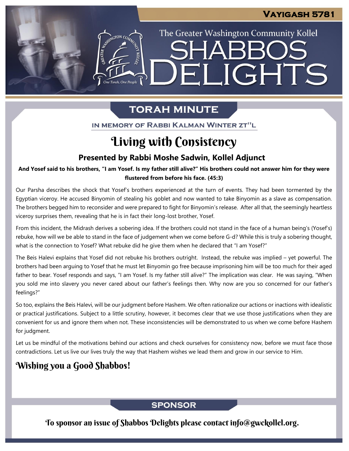# ELIGHTS

The Greater Washington Community Kollel

SHARR

## **TORAH MINUTE**

IN MEMORY OF RABBI KALMAN WINTER ZT"L

# Living with Consistency

## **Presented by Rabbi Moshe Sadwin, Kollel Adjunct**

**And Yosef said to his brothers, "I am Yosef. Is my father still alive?" His brothers could not answer him for they were From our archives flustered from before his face. (45:3)**

Our Parsha describes the shock that Yosef's brothers experienced at the turn of events. They had been tormented by the Egyptian viceroy. He accused Binyomin of stealing his goblet and now wanted to take Binyomin as a slave as compensation. The brothers begged him to reconsider and were prepared to fight for Binyomin's release. After all that, the seemingly heartless viceroy surprises them, revealing that he is in fact their long-lost brother, Yosef.

From this incident, the Midrash derives a sobering idea. If the brothers could not stand in the face of a human being's (Yosef's) rebuke, how will we be able to stand in the face of judgement when we come before G-d? While this is truly a sobering thought, what is the connection to Yosef? What rebuke did he give them when he declared that "I am Yosef?"

The Beis Halevi explains that Yosef did not rebuke his brothers outright. Instead, the rebuke was implied – yet powerful. The brothers had been arguing to Yosef that he must let Binyomin go free because imprisoning him will be too much for their aged father to bear. Yosef responds and says, "I am Yosef. Is my father still alive?" The implication was clear. He was saying, "When you sold me into slavery you never cared about our father's feelings then. Why now are you so concerned for our father's feelings?"

So too, explains the Beis Halevi, will be our judgment before Hashem. We often rationalize our actions or inactions with idealistic or practical justifications. Subject to a little scrutiny, however, it becomes clear that we use those justifications when they are convenient for us and ignore them when not. These inconsistencies will be demonstrated to us when we come before Hashem for judgment.

Let us be mindful of the motivations behind our actions and check ourselves for consistency now, before we must face those contradictions. Let us live our lives truly the way that Hashem wishes we lead them and grow in our service to Him.

## Wishing you a Good Shabbos!

## **SPONSOR**

To sponsor an issue of Shabbos Delights please contact info@gwckollel.org.